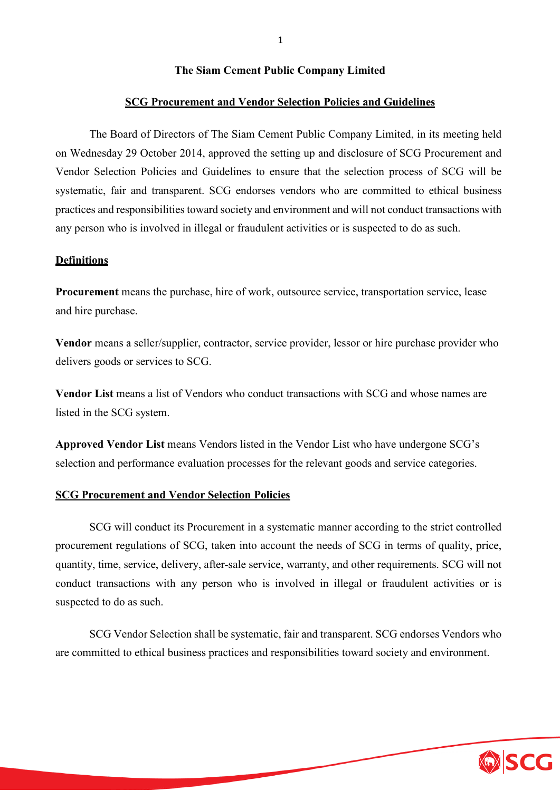## **The Siam Cement Public Company Limited**

#### **SCG Procurement and Vendor Selection Policies and Guidelines**

The Board of Directors of The Siam Cement Public Company Limited, in its meeting held on Wednesday 29 October 2014, approved the setting up and disclosure of SCG Procurement and Vendor Selection Policies and Guidelines to ensure that the selection process of SCG will be systematic, fair and transparent. SCG endorses vendors who are committed to ethical business practices and responsibilities toward society and environment and will not conduct transactions with any person who is involved in illegal or fraudulent activities or is suspected to do as such.

#### **Definitions**

**Procurement** means the purchase, hire of work, outsource service, transportation service, lease and hire purchase.

**Vendor** means a seller/supplier, contractor, service provider, lessor or hire purchase provider who delivers goods or services to SCG.

**Vendor List** means a list of Vendors who conduct transactions with SCG and whose names are listed in the SCG system.

**Approved Vendor List** means Vendors listed in the Vendor List who have undergone SCG's selection and performance evaluation processes for the relevant goods and service categories.

#### **SCG Procurement and Vendor Selection Policies**

SCG will conduct its Procurement in a systematic manner according to the strict controlled procurement regulations of SCG, taken into account the needs of SCG in terms of quality, price, quantity, time, service, delivery, after-sale service, warranty, and other requirements. SCG will not conduct transactions with any person who is involved in illegal or fraudulent activities or is suspected to do as such.

SCG Vendor Selection shall be systematic, fair and transparent. SCG endorses Vendors who are committed to ethical business practices and responsibilities toward society and environment.

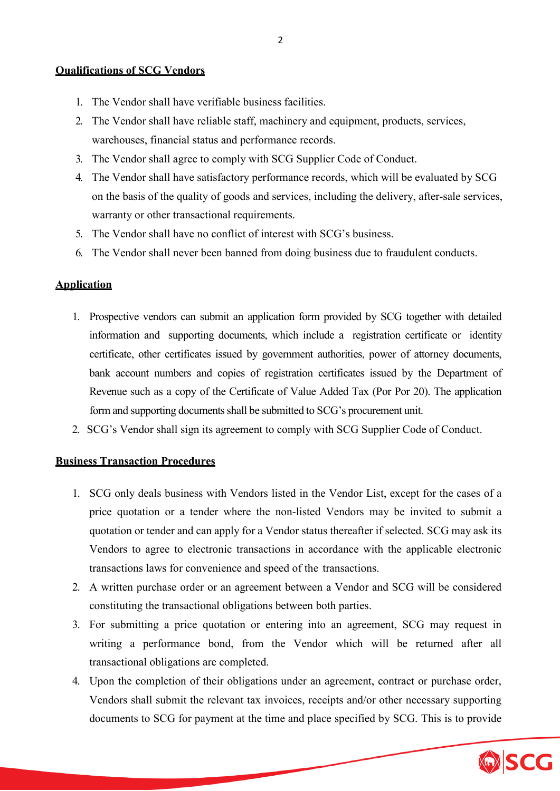### **Qualifications of SCG Vendors**

- 1. The Vendor shall have verifiable business facilities.
- 2. The Vendor shall have reliable staff, machinery and equipment, products, services, warehouses, financial status and performance records.
- 3. The Vendor shall agree to comply with SCG Supplier Code of Conduct.
- 4. The Vendor shall have satisfactory performance records, which will be evaluated by SCG on the basis of the quality of goods and services, including the delivery, after-sale services, warranty or other transactional requirements.
- 5. The Vendor shall have no conflict of interest with SCG's business.
- 6. The Vendor shall never been banned from doing business due to fraudulent conducts.

# **Application**

- 1. Prospective vendors can submit an application form provided by SCG together with detailed information and supporting documents, which include a registration certificate or identity certificate, other certificates issued by government authorities, power of attorney documents, bank account numbers and copies of registration certificates issued by the Department of Revenue such as a copy of the Certificate of Value Added Tax (Por Por 20). The application form and supporting documents shall be submitted to SCG's procurement unit.
- 2. SCG's Vendor shall sign its agreement to comply with SCG Supplier Code of Conduct.

#### **Business Transaction Procedures**

- 1. SCG only deals business with Vendors listed in the Vendor List, except for the cases of a price quotation or a tender where the non-listed Vendors may be invited to submit a quotation or tender and can apply for a Vendor status thereafter if selected. SCG may ask its Vendors to agree to electronic transactions in accordance with the applicable electronic transactions laws for convenience and speed of the transactions.
- 2. A written purchase order or an agreement between a Vendor and SCG will be considered constituting the transactional obligations between both parties.
- 3. For submitting a price quotation or entering into an agreement, SCG may request in writing a performance bond, from the Vendor which will be returned after all transactional obligations are completed.
- 4. Upon the completion of their obligations under an agreement, contract or purchase order, Vendors shall submit the relevant tax invoices, receipts and/or other necessary supporting documents to SCG for payment at the time and place specified by SCG. This is to provide